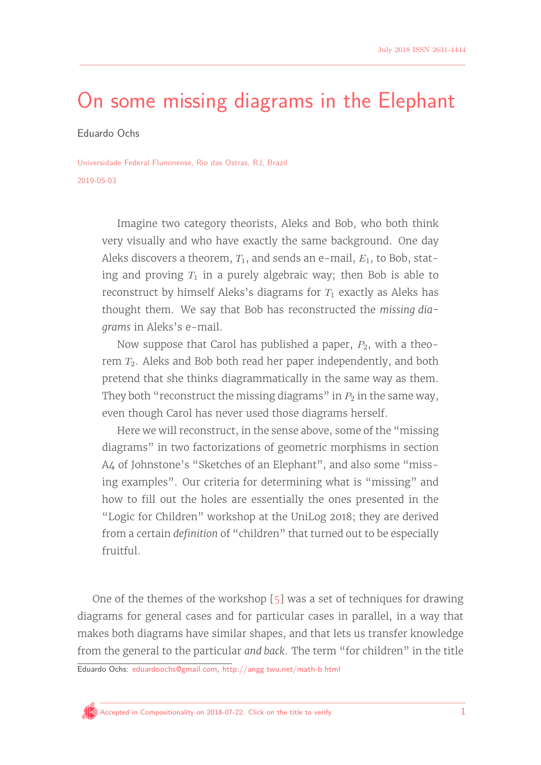# [On some missing diagrams in the Elephant](http://www.compositionality-journal.org/template/)

Eduardo Ochs

Universidade Federal Fluminense, Rio das Ostras, RJ, Brazil 2019-05-03

> Imagine two category theorists, Aleks and Bob, who both think very visually and who have exactly the same background. One day Aleks discovers a theorem,  $T_1$ , and sends an e-mail,  $E_1$ , to Bob, stating and proving  $T_1$  in a purely algebraic way; then Bob is able to reconstruct by himself Aleks's diagrams for  $T_1$  exactly as Aleks has thought them. We say that Bob has reconstructed the missing diagrams in Aleks's e-mail.

> Now suppose that Carol has published a paper,  $P_2$ , with a theorem *T*2. Aleks and Bob both read her paper independently, and both pretend that she thinks diagrammatically in the same way as them. They both "reconstruct the missing diagrams" in  $P_2$  in the same way, even though Carol has never used those diagrams herself.

> Here we will reconstruct, in the sense above, some of the "missing diagrams" in two factorizations of geometric morphisms in section A4 of Johnstone's "Sketches of an Elephant", and also some "missing examples". Our criteria for determining what is "missing" and how to fill out the holes are essentially the ones presented in the "Logic for Children" workshop at the UniLog 2018; they are derived from a certain definition of "children" that turned out to be especially fruitful.

One of the themes of the workshop [\[5\]](#page-11-0) was a set of techniques for drawing diagrams for general cases and for particular cases in parallel, in a way that makes both diagrams have similar shapes, and that lets us transfer knowledge from the general to the particular and back. The term "for children" in the title

Eduardo Ochs: [eduardoochs@gmail.com,](mailto:eduardoochs@gmail.com) <http://angg.twu.net/math-b.html>

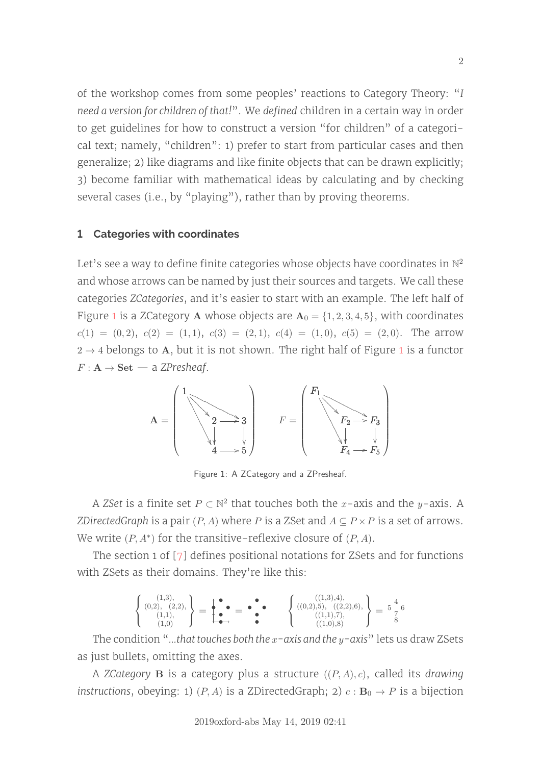of the workshop comes from some peoples' reactions to Category Theory: "I need a version for children of that!". We defined children in a certain way in order to get guidelines for how to construct a version "for children" of a categorical text; namely, "children": 1) prefer to start from particular cases and then generalize; 2) like diagrams and like finite objects that can be drawn explicitly; 3) become familiar with mathematical ideas by calculating and by checking several cases (i.e., by "playing"), rather than by proving theorems.

### **1 Categories with coordinates**

Let's see a way to define finite categories whose objects have coordinates in  $\mathbb{N}^2$ and whose arrows can be named by just their sources and targets. We call these categories ZCategories, and it's easier to start with an example. The left half of Figure [1](#page-1-0) is a ZCategory **A** whose objects are  $A_0 = \{1, 2, 3, 4, 5\}$ , with coordinates  $c(1) = (0, 2), c(2) = (1, 1), c(3) = (2, 1), c(4) = (1, 0), c(5) = (2, 0).$  The arrow  $2 \rightarrow 4$  belongs to **A**, but it is not shown. The right half of Figure [1](#page-1-0) is a functor  $F: \mathbf{A} \to \mathbf{Set}$  — a ZPresheaf.

<span id="page-1-0"></span>

Figure 1: A ZCategory and a ZPresheaf.

A *ZSet* is a finite set  $P \subset \mathbb{N}^2$  that touches both the *x*-axis and the *y*-axis. A ZDirectedGraph is a pair  $(P, A)$  where *P* is a ZSet and  $A \subseteq P \times P$  is a set of arrows. We write  $(P, A^*)$  for the transitive-reflexive closure of  $(P, A)$ .

The section 1 of  $[7]$  defines positional notations for ZSets and for functions with ZSets as their domains. They're like this:

$$
\left\{\n\begin{array}{c}\n(1,3), \\
(0,2), \\
(1,1), \\
(1,0)\n\end{array}\n\right\} =\n\begin{array}{c}\n\bullet \\
\bullet \\
\bullet \\
\bullet\n\end{array} =\n\begin{array}{c}\n\bullet \\
\bullet \\
\bullet \\
\bullet\n\end{array} =\n\begin{array}{c}\n\bullet \\
\bullet \\
\bullet \\
\bullet \\
\bullet\n\end{array}\n\left\{\n\begin{array}{c}\n((1,3),4), \\
((0,2),5), \\
((2,2),6), \\
((1,1),7), \\
((1,0),8)\n\end{array}\n\right\} =\n\begin{array}{c}\n4 \\
5 \\
8\n\end{array}
$$

The condition "...that touches both the *x*-axis and the *y*-axis" lets us draw ZSets as just bullets, omitting the axes.

A ZCategory **B** is a category plus a structure ((*P, A*)*, c*), called its drawing instructions, obeying: 1)  $(P, A)$  is a ZDirectedGraph; 2)  $c : \mathbf{B}_0 \to P$  is a bijection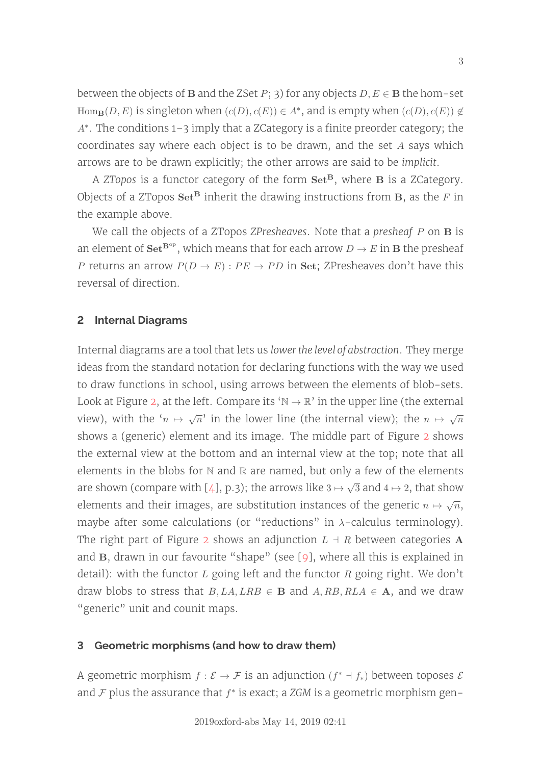between the objects of **B** and the ZSet  $P$ ; 3) for any objects  $D, E \in \mathbf{B}$  the hom-set Hom<sub>B</sub>(*D*, *E*) is singleton when  $(c(D), c(E)) \in A^*$ , and is empty when  $(c(D), c(E)) \notin$ A<sup>\*</sup>. The conditions 1-3 imply that a ZCategory is a finite preorder category; the coordinates say where each object is to be drawn, and the set *A* says which arrows are to be drawn explicitly; the other arrows are said to be implicit.

A ZTopos is a functor category of the form **SetB**, where **B** is a ZCategory. Objects of a ZTopos  $\mathbf{Set}^{\mathbf{B}}$  inherit the drawing instructions from  $\mathbf{B}$ , as the *F* in the example above.

We call the objects of a ZTopos ZPresheaves. Note that a presheaf *P* on **B** is an element of  $\mathbf{Set}^{\mathbf{B}^{\mathrm{op}}}$ , which means that for each arrow  $D \to E$  in **B** the presheaf *P* returns an arrow  $P(D \to E)$ :  $PE \to PD$  in Set; ZPresheaves don't have this reversal of direction.

### <span id="page-2-0"></span>**2 Internal Diagrams**

Internal diagrams are a tool that lets us lower the level of abstraction. They merge ideas from the standard notation for declaring functions with the way we used to draw functions in school, using arrows between the elements of blob-sets. Look at Figure [2,](#page-3-0) at the left. Compare its ' $\mathbb{N} \to \mathbb{R}$ ' in the upper line (the external view), with the  $(n \mapsto \sqrt{n})$  in the lower line (the internal view); the  $n \mapsto \sqrt{n}$ shows a (generic) element and its image. The middle part of Figure [2](#page-3-0) shows the external view at the bottom and an internal view at the top; note that all elements in the blobs for  $N$  and  $R$  are named, but only a few of the elements are shown (compare with [\[4\]](#page-11-2), p.3); the arrows like  $3\mapsto$ √  $3$  and  $4\mapsto 2,$  that show elements and their images, are substitution instances of the generic  $n \mapsto \sqrt{n}$ , maybe after some calculations (or "reductions" in *λ*-calculus terminology). The right part of Figure [2](#page-3-0) shows an adjunction  $L \dashv R$  between categories **A** and **B**, drawn in our favourite "shape" (see [\[9\]](#page-11-3), where all this is explained in detail): with the functor *L* going left and the functor *R* going right. We don't draw blobs to stress that  $B, LA, LRB \in \mathbf{B}$  and  $A, RB, RLA \in \mathbf{A}$ , and we draw "generic" unit and counit maps.

### **3 Geometric morphisms (and how to draw them)**

A geometric morphism  $f : \mathcal{E} \to \mathcal{F}$  is an adjunction  $(f^* \dashv f_*)$  between toposes  $\mathcal{E}$ and  $F$  plus the assurance that  $f^*$  is exact; a ZGM is a geometric morphism gen-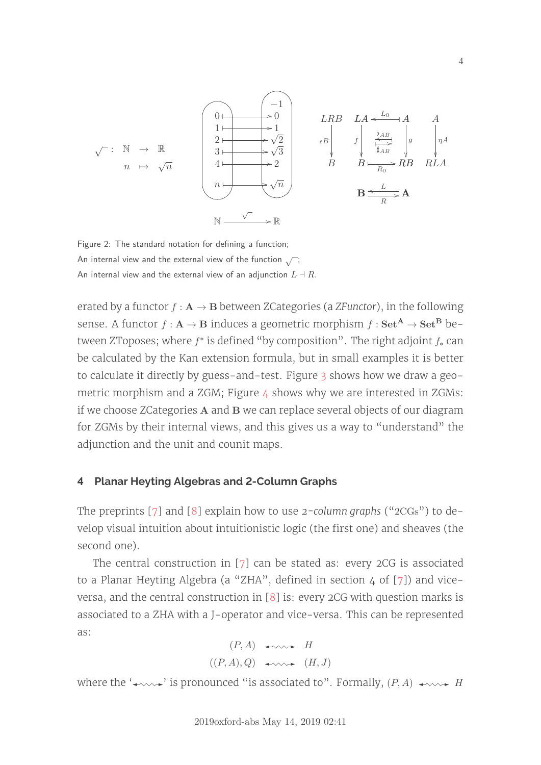<span id="page-3-0"></span>

Figure 2: The standard notation for defining a function; An internal view and the external view of the function  $\sqrt{\ }$ ; An internal view and the external view of an adjunction  $L \dashv R$ .

erated by a functor  $f : A \rightarrow B$  between ZCategories (a ZFunctor), in the following sense. A functor  $f : A \rightarrow B$  induces a geometric morphism  $f : Set^A \rightarrow Set^B$  between ZToposes; where  $f^*$  is defined "by composition". The right adjoint  $f_*$  can be calculated by the Kan extension formula, but in small examples it is better to calculate it directly by guess-and-test. Figure [3](#page-4-0) shows how we draw a geometric morphism and a ZGM; Figure  $\angle$  shows why we are interested in ZGMs: if we choose ZCategories **A** and **B** we can replace several objects of our diagram for ZGMs by their internal views, and this gives us a way to "understand" the adjunction and the unit and counit maps.

#### **4 Planar Heyting Algebras and 2-Column Graphs**

The preprints [\[7\]](#page-11-1) and [\[8\]](#page-11-4) explain how to use 2-column graphs (" $2CGs$ ") to develop visual intuition about intuitionistic logic (the first one) and sheaves (the second one).

The central construction in [\[7\]](#page-11-1) can be stated as: every 2CG is associated to a Planar Heyting Algebra (a "ZHA", defined in section  $4$  of [\[7\]](#page-11-1)) and viceversa, and the central construction in [\[8\]](#page-11-4) is: every 2CG with question marks is associated to a ZHA with a J-operator and vice-versa. This can be represented as:

$$
(P, A) \leftrightarrow H
$$
  

$$
((P, A), Q) \leftrightarrow \leadsto (H, J)
$$

where the  $\rightarrow\rightarrow\rightarrow\rightarrow$  is pronounced "is associated to". Formally,  $(P, A) \rightarrow\rightarrow\rightarrow\rightarrow$  *H*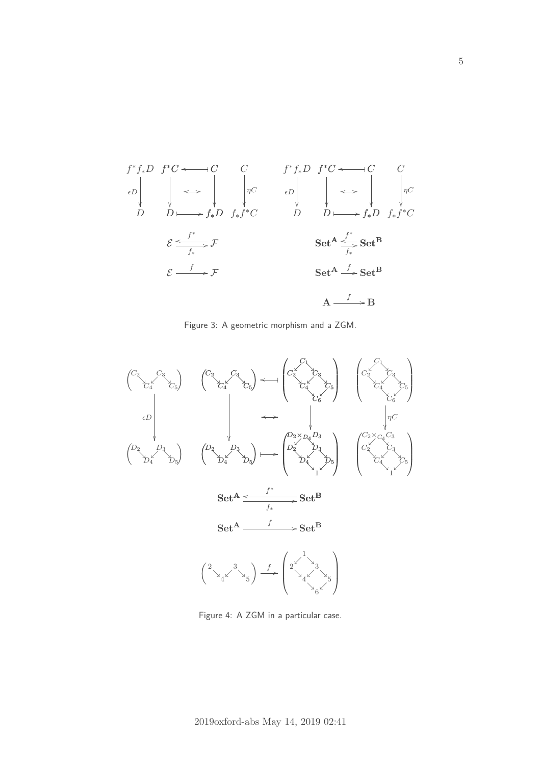<span id="page-4-0"></span>

Figure 3: A geometric morphism and a ZGM.



Figure 4: A ZGM in a particular case.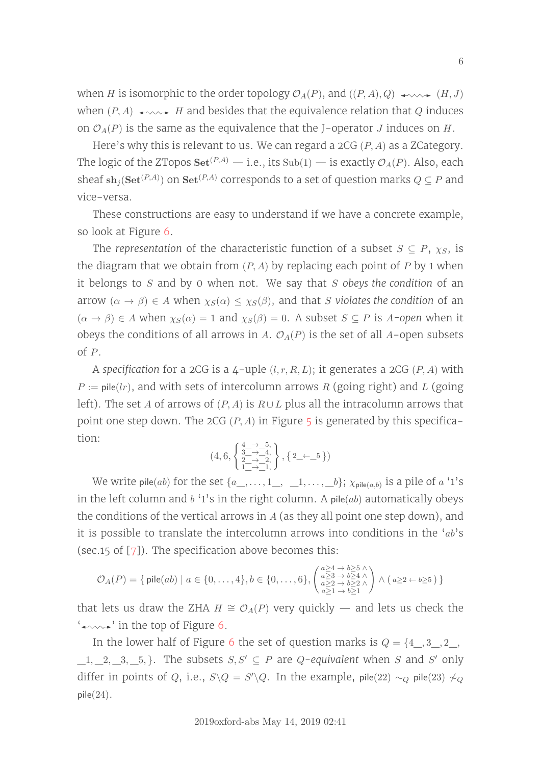when *H* is isomorphic to the order topology  $\mathcal{O}_A(P)$ , and  $((P, A), Q) \longrightarrow \mathcal{O}_A$  (*H, J*) when  $(P, A) \leftrightarrow$ *H* and besides that the equivalence relation that *Q* induces on  $\mathcal{O}_A(P)$  is the same as the equivalence that the J-operator *J* induces on *H*.

Here's why this is relevant to us. We can regard a 2CG (*P, A*) as a ZCategory. The logic of the ZTopos  $\mathbf{Set}^{(P,A)}$  — i.e., its  $\text{Sub}(1)$  — is exactly  $\mathcal{O}_A(P)$ . Also, each sheaf  $\mathbf{sh}_j(\mathbf{Set}^{(P,A)})$  on  $\mathbf{Set}^{(P,A)}$  corresponds to a set of question marks  $Q \subseteq P$  and vice-versa.

These constructions are easy to understand if we have a concrete example, so look at Figure [6.](#page-6-0)

The representation of the characteristic function of a subset  $S \subseteq P$ ,  $\chi_S$ , is the diagram that we obtain from (*P, A*) by replacing each point of *P* by 1 when it belongs to *S* and by 0 when not. We say that *S* obeys the condition of an arrow  $(\alpha \to \beta) \in A$  when  $\chi_S(\alpha) \leq \chi_S(\beta)$ , and that *S* violates the condition of an  $(\alpha \rightarrow \beta) \in A$  when  $\chi_S(\alpha) = 1$  and  $\chi_S(\beta) = 0$ . A subset  $S \subseteq P$  is *A*-open when it obeys the conditions of all arrows in *A*.  $\mathcal{O}_A(P)$  is the set of all *A*-open subsets of *P*.

A specification for a 2CG is a  $\mu$ -uple  $(l, r, R, L)$ ; it generates a 2CG  $(P, A)$  with  $P := \text{pile}(lr)$ , and with sets of intercolumn arrows *R* (going right) and *L* (going left). The set *A* of arrows of  $(P, A)$  is  $R \cup L$  plus all the intracolumn arrows that point one step down. The 2CG  $(P, A)$  in Figure [5](#page-6-0) is generated by this specification:

$$
(4,6,\left\{\begin{smallmatrix} \frac{4}{3}-&-&5,\\ 3-&-&4,\\ 2-&-&2,\\ 1-&-&1, \end{smallmatrix}\right\},\left\{\begin{smallmatrix} 2&\leftarrow&5 \end{smallmatrix}\right\})
$$

We write pile $(ab)$  for the set  $\{a\_,\ldots, 1\_,\ \_\_1,\ldots,\_\_b\};$   $\chi_{\mathsf{pile}(a,b)}$  is a pile of  $a$  '1's in the left column and  $b$  '1's in the right column. A pile( $ab$ ) automatically obeys the conditions of the vertical arrows in *A* (as they all point one step down), and it is possible to translate the intercolumn arrows into conditions in the '*ab*'s (sec.15 of  $[7]$ ). The specification above becomes this:

$$
\mathcal{O}_A(P)=\{\textrm{ pile}(ab)\mid a\in\{0,\ldots,4\}, b\in\{0,\ldots,6\}, \begin{pmatrix}a\geq 4 & \to b\geq 5 \;\land \\ a\geq 3 & \to b\geq 4 \;\land \\ a\geq 2 & \to b\geq 2 \;\land \\ a\geq 1 & \to b\geq 1\end{pmatrix}\wedge\big(a\geq 2\leftarrow b\geq 5\big)\,\}
$$

that lets us draw the ZHA *H*  $\cong$   $\mathcal{O}_A(P)$  very quickly — and lets us check the ' ' in the top of Figure [6.](#page-6-0)

In the lower half of Figure [6](#page-6-0) the set of question marks is *Q* = {4\_*,* 3\_*,* 2\_*,*  $\_1, \_2, \_3, \_5, \}$ . The subsets  $S, S' \subseteq P$  are *Q*-equivalent when *S* and *S'* only differ in points of *Q*, i.e.,  $S \setminus Q = S' \setminus Q$ . In the example, pile(22) ∼*Q* pile(23)  $\not\sim_Q$ pile(24).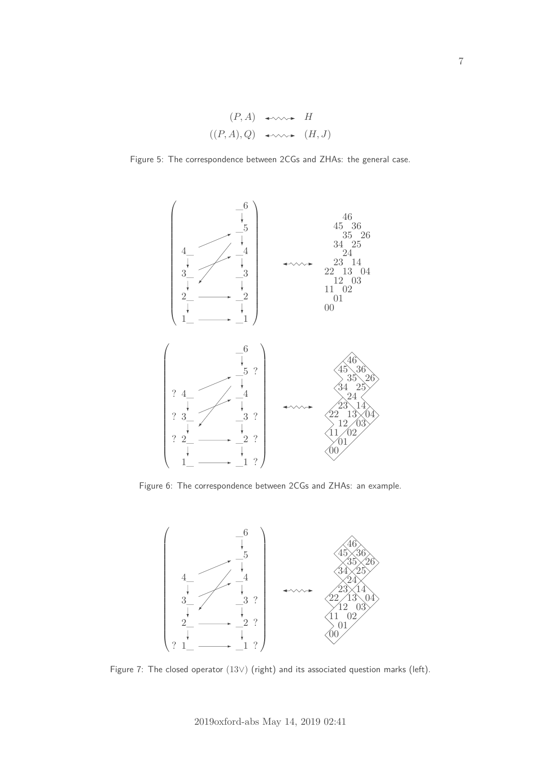$$
(P, A) \leftrightarrow H
$$
  

$$
((P, A), Q) \leftrightarrow \leadsto (H, J)
$$

<span id="page-6-0"></span>Figure 5: The correspondence between 2CGs and ZHAs: the general case.



Figure 6: The correspondence between 2CGs and ZHAs: an example.



Figure 7: The closed operator (13∨) (right) and its associated question marks (left).

7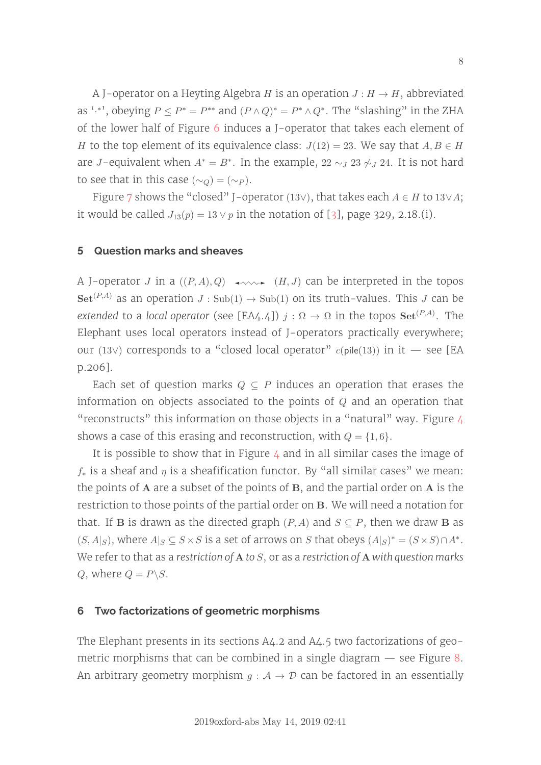A J-operator on a Heyting Algebra *H* is an operation  $J: H \to H$ , abbreviated as '<sup>\*</sup>', obeying  $P \le P^* = P^{**}$  and  $(P \wedge Q)^* = P^* \wedge Q^*$ . The "slashing" in the ZHA of the lower half of Figure [6](#page-6-0) induces a J-operator that takes each element of *H* to the top element of its equivalence class:  $J(12) = 23$ . We say that  $A, B \in H$ are *J*-equivalent when  $A^* = B^*$ . In the example, 22  $\sim_J 23 \nsim_J 24$ . It is not hard to see that in this case ( $\sim_Q$ ) = ( $\sim_P$ ).

Figure [7](#page-6-0) shows the "closed" J-operator (13∨), that takes each  $A \in H$  to 13∨ $A$ ; it would be called  $J_{13}(p) = 13 \vee p$  in the notation of [\[3\]](#page-11-5), page 329, 2.18.(i).

#### <span id="page-7-0"></span>**5 Question marks and sheaves**

A J-operator *J* in a  $((P, A), Q) \longrightarrow (H, J)$  can be interpreted in the topos  $\text{Set}^{(P,A)}$  as an operation  $J : \text{Sub}(1) \rightarrow \text{Sub}(1)$  on its truth-values. This *J* can be extended to a local operator (see [EA4.4])  $j:\Omega\to\Omega$  in the topos  $\mathbf{Set}^{(P,A)}.$  The Elephant uses local operators instead of J-operators practically everywhere; our (13∨) corresponds to a "closed local operator" *c*(pile(13)) in it — see [EA p.206].

Each set of question marks  $Q \subseteq P$  induces an operation that erases the information on objects associated to the points of *Q* and an operation that "reconstructs" this information on those objects in a "natural" way. Figure  $4$ shows a case of this erasing and reconstruction, with  $Q = \{1, 6\}.$ 

It is possible to show that in Figure  $4$  and in all similar cases the image of  $f_*$  is a sheaf and  $\eta$  is a sheafification functor. By "all similar cases" we mean: the points of **A** are a subset of the points of **B**, and the partial order on **A** is the restriction to those points of the partial order on **B**. We will need a notation for that. If **B** is drawn as the directed graph  $(P, A)$  and  $S \subseteq P$ , then we draw **B** as  $(S, A|_S)$ , where  $A|_S \subseteq S \times S$  is a set of arrows on *S* that obeys  $(A|_S)^* = (S \times S) \cap A^*$ . We refer to that as a restriction of **A** to *S*, or as a restriction of **A** with question marks *Q*, where  $Q = P \setminus S$ .

#### **6 Two factorizations of geometric morphisms**

The Elephant presents in its sections A4.2 and A4.5 two factorizations of geometric morphisms that can be combined in a single diagram — see Figure [8.](#page-8-0) An arbitrary geometry morphism  $g : A \rightarrow \mathcal{D}$  can be factored in an essentially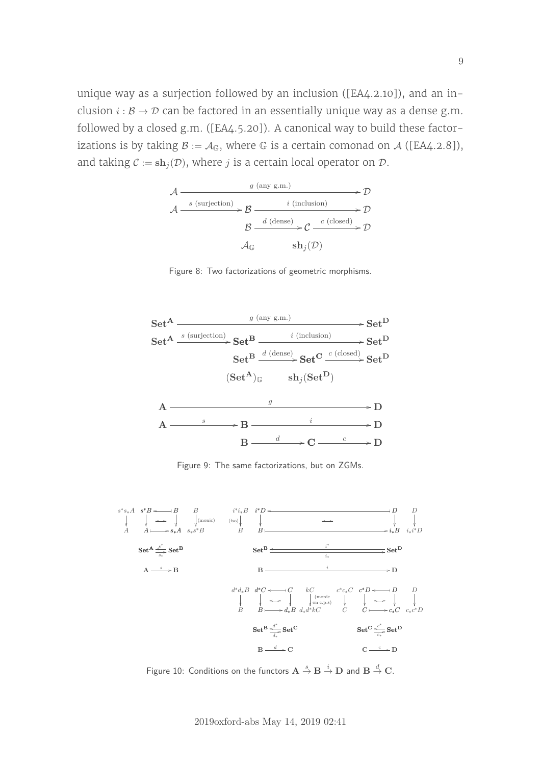<span id="page-8-0"></span>unique way as a surjection followed by an inclusion ([EA4.2.10]), and an inclusion  $i : \mathcal{B} \to \mathcal{D}$  can be factored in an essentially unique way as a dense g.m. followed by a closed g.m. ([EA4.5.20]). A canonical way to build these factorizations is by taking  $B := A_G$ , where G is a certain comonad on A ([EA4.2.8]), and taking  $C := \mathbf{sh}_i(\mathcal{D})$ , where *j* is a certain local operator on  $\mathcal{D}$ .



Figure 8: Two factorizations of geometric morphisms.



Figure 9: The same factorizations, but on ZGMs.



Figure 10: Conditions on the functors  $\mathbf{A} \stackrel{s}{\to} \mathbf{B} \stackrel{i}{\to} \mathbf{D}$  and  $\mathbf{B} \stackrel{d}{\to} \mathbf{C}$ .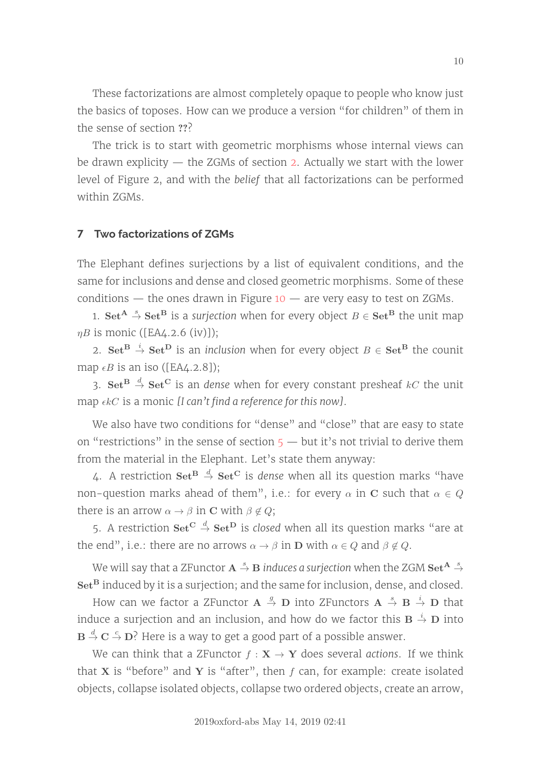These factorizations are almost completely opaque to people who know just the basics of toposes. How can we produce a version "for children" of them in the sense of section ???

The trick is to start with geometric morphisms whose internal views can be drawn explicity — the ZGMs of section [2.](#page-2-0) Actually we start with the lower level of Figure 2, and with the belief that all factorizations can be performed within ZGMs.

# **7 Two factorizations of ZGMs**

The Elephant defines surjections by a list of equivalent conditions, and the same for inclusions and dense and closed geometric morphisms. Some of these conditions — the ones drawn in Figure  $10 10 -$  are very easy to test on ZGMs.

1. **Set**<sup>A</sup>  $\stackrel{\circ}{\rightarrow}$  **Set**<sup>B</sup> is a surjection when for every object  $B \in$  **Set**<sup>B</sup> the unit map *ηB* is monic ([EA4.2.6 (iv)]);

2.  $\mathbf{Set}^{\mathbf{B}} \stackrel{i}{\rightarrow} \mathbf{Set}^{\mathbf{D}}$  is an inclusion when for every object  $B \in \mathbf{Set}^{\mathbf{B}}$  the counit map  $\epsilon B$  is an iso ([EA4.2.8]);

3.  $\mathbf{Set}^{\mathbf{B}} \stackrel{d}{\rightarrow} \mathbf{Set}^{\mathbf{C}}$  is an dense when for every constant presheaf  $kC$  the unit map  $\epsilon kC$  is a monic [I can't find a reference for this now].

We also have two conditions for "dense" and "close" that are easy to state on "restrictions" in the sense of section  $5 5 -$  but it's not trivial to derive them from the material in the Elephant. Let's state them anyway:

4. A restriction  $\mathbf{Set}^{\mathbf{B}} \overset{d}{\rightarrow} \mathbf{Set}^{\mathbf{C}}$  is *dense* when all its question marks "have non-question marks ahead of them", i.e.: for every  $\alpha$  in **C** such that  $\alpha \in Q$ there is an arrow  $\alpha \rightarrow \beta$  in **C** with  $\beta \notin Q$ ;

5. A restriction  $\mathbf{Set}^{\mathbf{C}} \overset{d}{\rightarrow} \mathbf{Set}^{\mathbf{D}}$  is closed when all its question marks "are at the end", i.e.: there are no arrows  $\alpha \rightarrow \beta$  in **D** with  $\alpha \in Q$  and  $\beta \notin Q$ .

We will say that a ZFunctor  $\mathbf{A} \overset{s}{\rightarrow} \mathbf{B}$  *induces a surjection when the ZGM*  $\mathbf{Set^A} \overset{s}{\rightarrow}$ **Set<sup>B</sup>** induced by it is a surjection; and the same for inclusion, dense, and closed.

How can we factor a ZFunctor  $\mathbf{A} \stackrel{g}{\rightarrow} \mathbf{D}$  into ZFunctors  $\mathbf{A} \stackrel{s}{\rightarrow} \mathbf{B} \stackrel{i}{\rightarrow} \mathbf{D}$  that induce a surjection and an inclusion, and how do we factor this  $\mathbf{B} \overset{i}{\rightarrow} \mathbf{D}$  into  $\mathbf{B} \stackrel{d}{\rightarrow} \mathbf{C} \stackrel{c}{\rightarrow} \mathbf{D}$ ? Here is a way to get a good part of a possible answer.

We can think that a ZFunctor  $f : \mathbf{X} \to \mathbf{Y}$  does several actions. If we think that **X** is "before" and **Y** is "after", then  $f$  can, for example: create isolated objects, collapse isolated objects, collapse two ordered objects, create an arrow,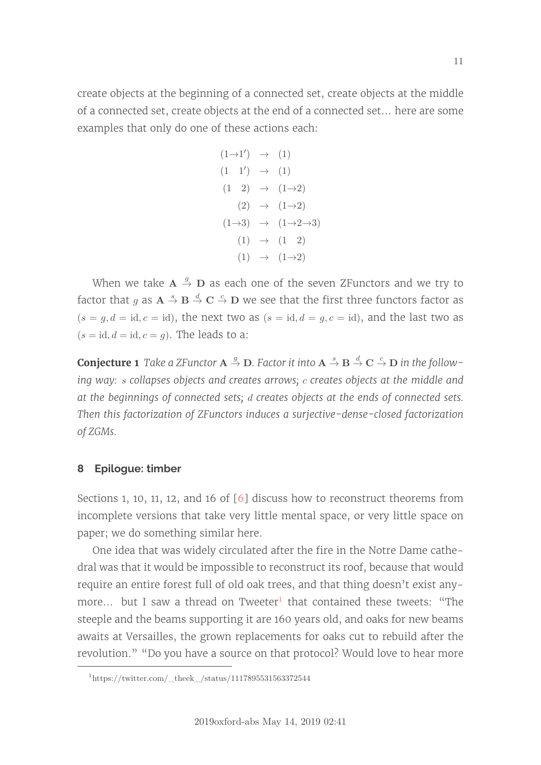create objects at the beginning of a connected set, create objects at the middle of a connected set, create objects at the end of a connected set... here are some examples that only do one of these actions each:

$$
(1\rightarrow 1') \rightarrow (1)
$$
  
\n
$$
(1 \quad 1') \rightarrow (1)
$$
  
\n
$$
(1 \quad 2) \rightarrow (1\rightarrow 2)
$$
  
\n
$$
(2) \rightarrow (1\rightarrow 2)
$$
  
\n
$$
(1\rightarrow 3) \rightarrow (1\rightarrow 2\rightarrow 3)
$$
  
\n
$$
(1) \rightarrow (1 \quad 2)
$$
  
\n
$$
(1) \rightarrow (1\rightarrow 2)
$$

When we take  $\mathbf{A} \stackrel{g}{\rightarrow} \mathbf{D}$  as each one of the seven ZFunctors and we try to factor that  $g$  as  $\mathbf{A} \overset{s}{\to} \mathbf{B} \overset{d}{\to} \mathbf{C} \overset{c}{\to} \mathbf{D}$  we see that the first three functors factor as  $(s = g, d = id, c = id)$ , the next two as  $(s = id, d = g, c = id)$ , and the last two as  $(s = id, d = id, c = q)$ . The leads to a:

**Conjecture 1** Take a ZFunctor  $\mathbf{A} \stackrel{g}{\rightarrow} \mathbf{D}$ . Factor it into  $\mathbf{A} \stackrel{s}{\rightarrow} \mathbf{B} \stackrel{d}{\rightarrow} \mathbf{C} \stackrel{c}{\rightarrow} \mathbf{D}$  in the following way: *s* collapses objects and creates arrows; *c* creates objects at the middle and at the beginnings of connected sets; *d* creates objects at the ends of connected sets. Then this factorization of ZFunctors induces a surjective-dense-closed factorization of ZGMs.

## **8 Epilogue: timber**

Sections 1, 10, 11, 12, and 16 of [\[6\]](#page-11-6) discuss how to reconstruct theorems from incomplete versions that take very little mental space, or very little space on paper; we do something similar here.

One idea that was widely circulated after the fire in the Notre Dame cathedral was that it would be impossible to reconstruct its roof, because that would require an entire forest full of old oak trees, and that thing doesn't exist any-more... but I saw a thread on Tweeter<sup>[1](#page-10-0)</sup> that contained these tweets: "The steeple and the beams supporting it are 160 years old, and oaks for new beams awaits at Versailles, the grown replacements for oaks cut to rebuild after the revolution." "Do you have a source on that protocol? Would love to hear more

<span id="page-10-0"></span> $1$ https://twitter.com/\_theek\_/status/1117895531563372544